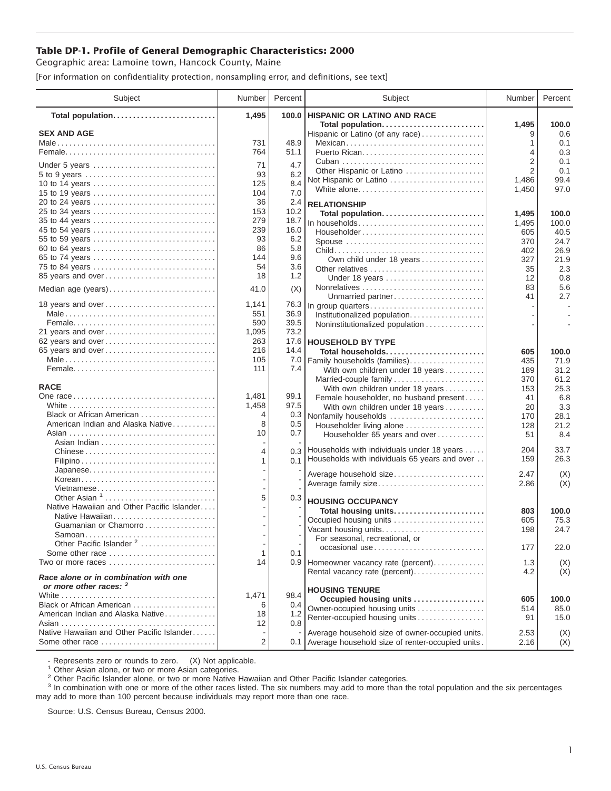## **Table DP-1. Profile of General Demographic Characteristics: 2000**

Geographic area: Lamoine town, Hancock County, Maine

[For information on confidentiality protection, nonsampling error, and definitions, see text]

| Subject                                                                    | Number     | Percent      | Subject                                                       | Number         | Percent      |
|----------------------------------------------------------------------------|------------|--------------|---------------------------------------------------------------|----------------|--------------|
| Total population                                                           | 1,495      | 100.0        | <b>HISPANIC OR LATINO AND RACE</b>                            |                |              |
| <b>SEX AND AGE</b>                                                         |            |              | Total population<br>Hispanic or Latino (of any race)          | 1,495<br>9     | 100.0<br>0.6 |
|                                                                            | 731        | 48.9         | Mexican                                                       | 1              | 0.1          |
|                                                                            | 764        | 51.1         |                                                               | 4              | 0.3          |
|                                                                            |            |              |                                                               | 2              | 0.1          |
| Under 5 years                                                              | 71         | 4.7          | Other Hispanic or Latino                                      | $\overline{2}$ | 0.1          |
| 10 to 14 years                                                             | 93<br>125  | 6.2<br>8.4   | Not Hispanic or Latino                                        | 1,486          | 99.4         |
| 15 to 19 years                                                             | 104        | 7.0          | White alone                                                   | 1,450          | 97.0         |
| 20 to 24 years                                                             | 36         | 2.4          | <b>RELATIONSHIP</b>                                           |                |              |
| 25 to 34 years                                                             | 153        | 10.2         | Total population                                              | 1,495          | 100.0        |
|                                                                            | 279        | 18.7         | In households                                                 | 1,495          | 100.0        |
| 45 to 54 years                                                             | 239        | 16.0         | Householder                                                   | 605            | 40.5         |
| 55 to 59 years                                                             | 93         | 6.2          | Spouse                                                        | 370            | 24.7         |
| 60 to 64 years                                                             | 86         | 5.8          |                                                               | 402            | 26.9         |
| 65 to 74 years                                                             | 144        | 9.6          | Own child under 18 years                                      | 327            | 21.9         |
| 75 to 84 years                                                             | 54         | 3.6          | Other relatives                                               | 35             | 2.3          |
| 85 years and over                                                          | 18         | 1.2          | Under 18 years                                                | 12             | 0.8          |
| Median age (years)                                                         | 41.0       | (X)          |                                                               | 83             | 5.6          |
|                                                                            |            |              | Unmarried partner                                             | 41             | 2.7          |
| 18 years and over                                                          | 1,141      | 76.3         | In group quarters                                             |                | $\sim$       |
|                                                                            | 551<br>590 | 36.9<br>39.5 | Institutionalized population                                  |                |              |
| 21 years and over                                                          | 1,095      | 73.2         | Noninstitutionalized population                               |                |              |
| 62 years and over                                                          | 263        | 17.6         | <b>HOUSEHOLD BY TYPE</b>                                      |                |              |
| 65 years and over                                                          | 216        | 14.4         | Total households                                              | 605            | 100.0        |
|                                                                            | 105        | 7.0          | Family households (families)                                  | 435            | 71.9         |
|                                                                            | 111        | 7.4          | With own children under 18 years                              | 189            | 31.2         |
|                                                                            |            |              | Married-couple family                                         | 370            | 61.2         |
| <b>RACE</b>                                                                |            |              | With own children under 18 years                              | 153            | 25.3         |
|                                                                            | 1,481      | 99.1         | Female householder, no husband present                        | 41             | 6.8          |
|                                                                            | 1,458      | 97.5         | With own children under 18 years                              | 20             | 3.3          |
| Black or African American                                                  | 4          | 0.3          | Nonfamily households                                          | 170            | 28.1         |
| American Indian and Alaska Native                                          | 8          | 0.5          | Householder living alone                                      | 128            | 21.2         |
|                                                                            | 10         | 0.7          | Householder 65 years and over                                 | 51             | 8.4          |
| Chinese                                                                    | 4          |              | 0.3 Households with individuals under 18 years                | 204            | 33.7         |
|                                                                            | 1          | 0.1          | Households with individuals 65 years and over                 | 159            | 26.3         |
| Japanese                                                                   |            |              |                                                               |                |              |
| Korean                                                                     |            |              | Average household size                                        | 2.47           | (X)          |
| Vietnamese                                                                 |            |              | Average family size                                           | 2.86           | (X)          |
| Other Asian <sup>1</sup>                                                   | 5          | 0.3          | <b>HOUSING OCCUPANCY</b>                                      |                |              |
| Native Hawaiian and Other Pacific Islander                                 |            |              | Total housing units                                           | 803            | 100.0        |
| Native Hawaiian                                                            |            |              | Occupied housing units                                        | 605            | 75.3         |
| Guamanian or Chamorro                                                      |            |              | Vacant housing units                                          | 198            | 24.7         |
|                                                                            |            |              | For seasonal, recreational, or                                |                |              |
| Other Pacific Islander <sup>2</sup>                                        |            |              | occasional use                                                | 177            | 22.0         |
| Some other race                                                            | 1          | 0.1          |                                                               |                |              |
| Two or more races $\ldots, \ldots, \ldots, \ldots, \ldots, \ldots, \ldots$ | 14         |              | 0.9 Homeowner vacancy rate (percent)                          | 1.3            | (X)          |
| Race alone or in combination with one<br>or more other races: 3            |            |              | Rental vacancy rate (percent)                                 | 4.2            | (X)          |
|                                                                            | 1,471      | 98.4         | <b>HOUSING TENURE</b>                                         |                |              |
| Black or African American                                                  | 6          | 0.4          | Occupied housing units                                        | 605            | 100.0        |
| American Indian and Alaska Native                                          | 18         | 1.2          | Owner-occupied housing units<br>Renter-occupied housing units | 514<br>91      | 85.0<br>15.0 |
|                                                                            | 12         | 0.8          |                                                               |                |              |
| Native Hawaiian and Other Pacific Islander                                 |            |              | Average household size of owner-occupied units.               | 2.53           | (X)          |
| Some other race                                                            | 2          |              | 0.1 Average household size of renter-occupied units.          | 2.16           | (X)          |

- Represents zero or rounds to zero. (X) Not applicable.<br><sup>1</sup> Other Asian alone, or two or more Asian categories.

<sup>2</sup> Other Pacific Islander alone, or two or more Native Hawaiian and Other Pacific Islander categories.<br><sup>3</sup> In combination with one or more of the other races listed. The six numbers may add to more than the total populati may add to more than 100 percent because individuals may report more than one race.

Source: U.S. Census Bureau, Census 2000.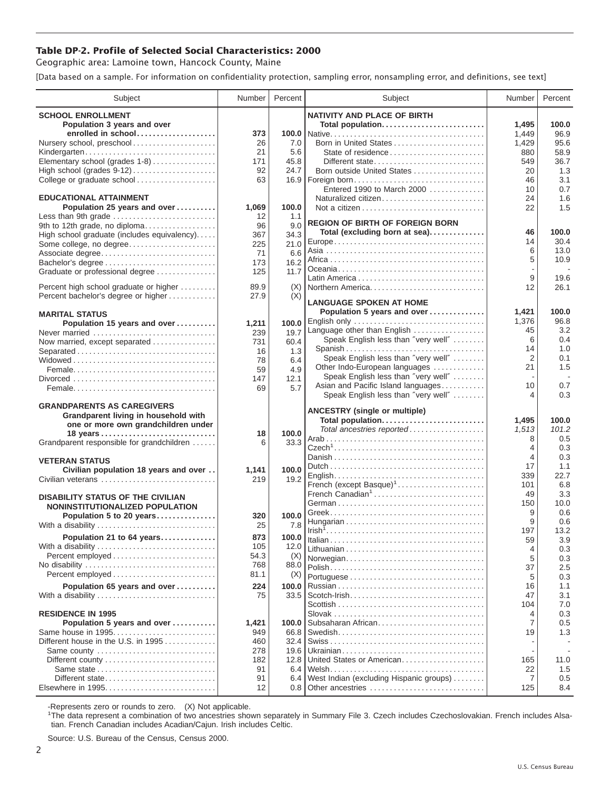## **Table DP-2. Profile of Selected Social Characteristics: 2000**

Geographic area: Lamoine town, Hancock County, Maine

[Data based on a sample. For information on confidentiality protection, sampling error, nonsampling error, and definitions, see text]

| Subject                                     | Number    | Percent       | Subject                                       | Number         | Percent        |
|---------------------------------------------|-----------|---------------|-----------------------------------------------|----------------|----------------|
| <b>SCHOOL ENROLLMENT</b>                    |           |               | <b>NATIVITY AND PLACE OF BIRTH</b>            |                |                |
| Population 3 years and over                 |           |               | Total population                              | 1,495          | 100.0          |
| enrolled in school                          | 373       |               |                                               | 1,449          | 96.9           |
| Nursery school, preschool                   | 26        | 7.0           | Born in United States                         | 1,429          | 95.6           |
| Kindergarten                                | 21        | 5.6           | State of residence                            | 880            | 58.9           |
| Elementary school (grades 1-8)              | 171       | 45.8          | Different state                               | 549            | 36.7           |
| High school (grades 9-12)                   | 92        | 24.7          | Born outside United States                    | 20             | 1.3            |
| College or graduate school                  | 63        |               |                                               | 46             | 3.1            |
|                                             |           |               | Entered 1990 to March 2000                    | 10             | 0.7            |
| <b>EDUCATIONAL ATTAINMENT</b>               |           |               | Naturalized citizen                           | 24             | 1.6            |
| Population 25 years and over                | 1,069     | 100.0         |                                               | 22             | 1.5            |
| Less than 9th grade                         | 12        | 1.1           | <b>REGION OF BIRTH OF FOREIGN BORN</b>        |                |                |
| 9th to 12th grade, no diploma               | 96        | 9.0           | Total (excluding born at sea)                 | 46             | 100.0          |
| High school graduate (includes equivalency) | 367       | 34.3          |                                               | 14             | 30.4           |
| Some college, no degree                     | 225<br>71 | 21.0<br>6.6   |                                               | 6              | 13.0           |
| Associate degree<br>Bachelor's degree       | 173       | 16.2          |                                               | 5              | 10.9           |
| Graduate or professional degree             | 125       | 11.7          |                                               |                |                |
|                                             |           |               |                                               | 9              | 19.6           |
| Percent high school graduate or higher      | 89.9      | (X)           | Northern America                              | 12             | 26.1           |
| Percent bachelor's degree or higher         | 27.9      | (X)           | <b>LANGUAGE SPOKEN AT HOME</b>                |                |                |
|                                             |           |               |                                               |                | 100.0          |
| <b>MARITAL STATUS</b>                       |           |               | Population 5 years and over<br>English only   | 1,421<br>1,376 | 96.8           |
| Population 15 years and over                | 1,211     | 100.0         | Language other than English                   | 45             | 3.2            |
| Never married                               | 239       | 19.7          | Speak English less than "very well"           | 6              | 0.4            |
| Now married, except separated               | 731       | 60.4          | Spanish                                       | 14             | 1.0            |
| Separated                                   | 16<br>78  | 1.3           | Speak English less than "very well"           | 2              | 0.1            |
|                                             | 59        | 6.4<br>4.9    | Other Indo-European languages                 | 21             | 1.5            |
|                                             | 147       | 12.1          | Speak English less than "very well"           |                | $\sim$         |
|                                             | 69        | 5.7           | Asian and Pacific Island languages            | 10             | 0.7            |
|                                             |           |               | Speak English less than "very well"           | 4              | 0.3            |
| <b>GRANDPARENTS AS CAREGIVERS</b>           |           |               |                                               |                |                |
| Grandparent living in household with        |           |               | <b>ANCESTRY</b> (single or multiple)          |                |                |
| one or more own grandchildren under         |           |               | Total population<br>Total ancestries reported | 1,495<br>1,513 | 100.0<br>101.2 |
|                                             | 18        | 100.0         |                                               | 8              | 0.5            |
| Grandparent responsible for grandchildren   | 6         | 33.3          |                                               | 4              | 0.3            |
|                                             |           |               |                                               | 4              | 0.3            |
| <b>VETERAN STATUS</b>                       |           |               |                                               | 17             | 1.1            |
| Civilian population 18 years and over       | 1,141     | 100.0         |                                               | 339            | 22.7           |
| Civilian veterans                           | 219       | 19.2          | French (except Basque) <sup>1</sup>           | 101            | 6.8            |
| <b>DISABILITY STATUS OF THE CIVILIAN</b>    |           |               | French Canadian <sup>1</sup>                  | 49             | 3.3            |
| NONINSTITUTIONALIZED POPULATION             |           |               |                                               | 150            | 10.0           |
| Population 5 to 20 years                    | 320       | 100.0         |                                               | 9              | 0.6            |
| With a disability                           | 25        | 7.8           |                                               | 9              | 0.6            |
| Population 21 to 64 years                   | 873       | 100.0         |                                               | 197            | 13.2           |
| With a disability                           | 105       | 12.0          |                                               | 59             | 3.9            |
| Percent employed                            | 54.3      | (X)           |                                               | 4              | 0.3            |
| No disability                               | 768       | 88.0          | Norwegian                                     | 5              | 0.3            |
|                                             | 81.1      | (X)           |                                               | 37             | 2.5            |
|                                             | 224       |               |                                               | 5<br>16        | 0.3            |
| Population 65 years and over                | 75        | 100.0<br>33.5 |                                               | 47             | 1.1<br>3.1     |
| With a disability                           |           |               |                                               | 104            | 7.0            |
| <b>RESIDENCE IN 1995</b>                    |           |               |                                               | 4              | 0.3            |
| Population 5 years and over                 | 1,421     | 100.0         | Subsaharan African                            | 7              | 0.5            |
| Same house in 1995                          | 949       | 66.8          |                                               | 19             | 1.3            |
| Different house in the U.S. in 1995         | 460       | 32.4          |                                               |                |                |
| Same county                                 | 278       | 19.6          |                                               |                |                |
|                                             | 182       | 12.8          | United States or American                     | 165            | 11.0           |
|                                             | 91        | 6.4           |                                               | 22             | 1.5            |
| Different state                             | 91        | 6.4           | West Indian (excluding Hispanic groups)       | 7              | 0.5            |
| Elsewhere in 1995                           | 12        | 0.8           | Other ancestries                              | 125            | 8.4            |

-Represents zero or rounds to zero. (X) Not applicable. 1 The data represent a combination of two ancestries shown separately in Summary File 3. Czech includes Czechoslovakian. French includes Alsatian. French Canadian includes Acadian/Cajun. Irish includes Celtic.

Source: U.S. Bureau of the Census, Census 2000.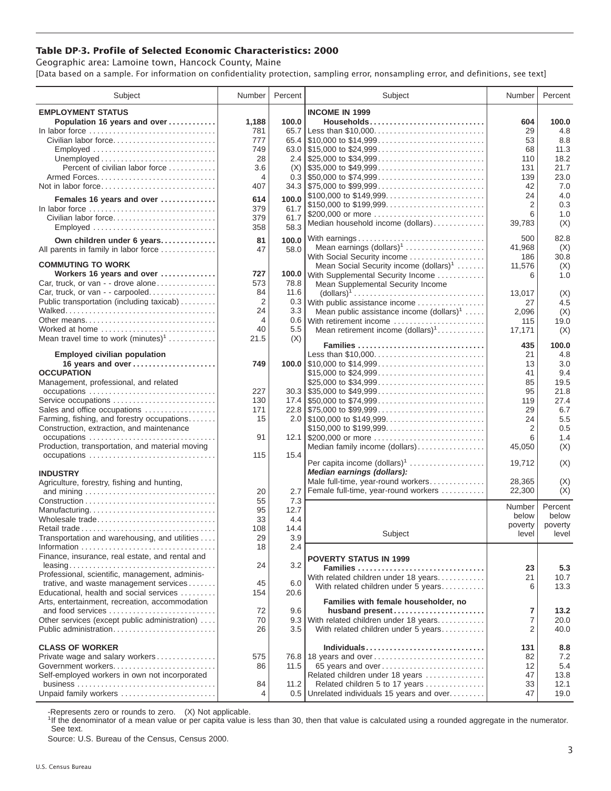## **Table DP-3. Profile of Selected Economic Characteristics: 2000**

Geographic area: Lamoine town, Hancock County, Maine [Data based on a sample. For information on confidentiality protection, sampling error, nonsampling error, and definitions, see text]

| Subject                                         | Number | Percent | Subject                                                                                                                     | Number  | Percent      |
|-------------------------------------------------|--------|---------|-----------------------------------------------------------------------------------------------------------------------------|---------|--------------|
| <b>EMPLOYMENT STATUS</b>                        |        |         | <b>INCOME IN 1999</b>                                                                                                       |         |              |
| Population 16 years and over                    | 1,188  | 100.0   | Households                                                                                                                  | 604     | 100.0        |
| In labor force                                  | 781    | 65.7    | Less than \$10,000                                                                                                          | 29      | 4.8          |
| Civilian labor force                            | 777    |         |                                                                                                                             | 53      | 8.8          |
| Employed                                        | 749    |         |                                                                                                                             | 68      | 11.3         |
|                                                 | 28     |         |                                                                                                                             | 110     | 18.2         |
| Percent of civilian labor force                 | 3.6    | (X)     | $\frac{1}{2}$ \$35,000 to \$49,999                                                                                          | 131     | 21.7         |
|                                                 | 4      |         |                                                                                                                             | 139     | 23.0         |
| Not in labor force                              | 407    |         | $34.3$ \\ \$75,000 to \$99,999                                                                                              | 42      | 7.0          |
| Females 16 years and over                       | 614    | 100.0   | \$100,000 to \$149,999                                                                                                      | 24      | 4.0          |
|                                                 | 379    | 61.7    | \$150,000 to \$199,999                                                                                                      | 2       | 0.3          |
| In labor force<br>Civilian labor force          | 379    | 61.7    | \$200,000 or more                                                                                                           | 6       | 1.0          |
| Employed                                        | 358    | 58.3    | Median household income (dollars)                                                                                           | 39,783  | (X)          |
|                                                 |        |         |                                                                                                                             |         |              |
| Own children under 6 years                      | 81     | 100.0   | With earnings                                                                                                               | 500     | 82.8         |
| All parents in family in labor force            | 47     | 58.0    | Mean earnings $(dollars)1$                                                                                                  | 41,968  | (X)          |
| <b>COMMUTING TO WORK</b>                        |        |         | With Social Security income                                                                                                 | 186     | 30.8         |
| Workers 16 years and over                       | 727    |         | Mean Social Security income $(dollars)^1$<br>100.0 With Supplemental Security Income                                        | 11,576  | (X)<br>1.0   |
| Car, truck, or van - - drove alone              | 573    | 78.8    |                                                                                                                             | 6       |              |
| Car, truck, or van - - carpooled                | 84     | 11.6    | Mean Supplemental Security Income<br>$\text{(dollars)}^1 \dots \dots \dots \dots \dots \dots \dots \dots \dots \dots \dots$ | 13.017  |              |
| Public transportation (including taxicab)       | 2      |         | 0.3 With public assistance income                                                                                           | 27      | (X)<br>4.5   |
|                                                 | 24     | 3.3     | Mean public assistance income $(dollars)1 \ldots$ .                                                                         | 2,096   | (X)          |
| Other means                                     | 4      |         | 0.6 With retirement income                                                                                                  | 115     | 19.0         |
| Worked at home                                  | 40     | 5.5     | Mean retirement income $(dollars)1$                                                                                         | 17,171  | (X)          |
| Mean travel time to work $(minutes)^1$          | 21.5   | (X)     |                                                                                                                             |         |              |
|                                                 |        |         | Families                                                                                                                    | 435     | 100.0        |
| <b>Employed civilian population</b>             |        |         | Less than \$10,000                                                                                                          | 21      | 4.8          |
| 16 years and over                               | 749    |         |                                                                                                                             | 13      | 3.0          |
| <b>OCCUPATION</b>                               |        |         | \$15,000 to \$24,999                                                                                                        | 41      | 9.4          |
| Management, professional, and related           |        |         |                                                                                                                             | 85      | 19.5         |
| occupations                                     | 227    |         | $30.3$ \\ \$35,000 to \$49,999                                                                                              | 95      | 21.8         |
| Service occupations                             | 130    |         |                                                                                                                             | 119     | 27.4         |
| Sales and office occupations                    | 171    |         |                                                                                                                             | 29      | 6.7          |
| Farming, fishing, and forestry occupations      | 15     |         |                                                                                                                             | 24      | 5.5          |
| Construction, extraction, and maintenance       |        |         | \$150,000 to \$199,999                                                                                                      | 2       | 0.5          |
| occupations                                     | 91     |         | 12.1 \$200,000 or more                                                                                                      | 6       | 1.4          |
| Production, transportation, and material moving |        |         | Median family income (dollars)                                                                                              | 45,050  | (X)          |
| occupations                                     | 115    | 15.4    | Per capita income (dollars) <sup>1</sup>                                                                                    | 19,712  | (X)          |
|                                                 |        |         | Median earnings (dollars):                                                                                                  |         |              |
| <b>INDUSTRY</b>                                 |        |         | Male full-time, year-round workers                                                                                          | 28,365  | (X)          |
| Agriculture, forestry, fishing and hunting,     | 20     | 2.7     | Female full-time, year-round workers                                                                                        | 22,300  | (X)          |
|                                                 | 55     | 7.3     |                                                                                                                             |         |              |
| Manufacturing                                   | 95     | 12.7    |                                                                                                                             | Number  | Percent      |
| Wholesale trade                                 | 33     | 4.4     |                                                                                                                             | below   | below        |
|                                                 | 108    | 14.4    |                                                                                                                             | poverty | poverty      |
| Transportation and warehousing, and utilities   | 29     | 3.9     | Subject                                                                                                                     | level   | level        |
|                                                 | 18     | 2.4     |                                                                                                                             |         |              |
| Finance, insurance, real estate, and rental and |        |         | <b>POVERTY STATUS IN 1999</b>                                                                                               |         |              |
|                                                 | 24     | 3.2     | Families                                                                                                                    | 23      | 5.3          |
| Professional, scientific, management, adminis-  |        |         | With related children under 18 years                                                                                        | 21      | 10.7         |
| trative, and waste management services          | 45     | 6.0     | With related children under 5 years                                                                                         | 6       | 13.3         |
| Educational, health and social services         | 154    | 20.6    |                                                                                                                             |         |              |
| Arts, entertainment, recreation, accommodation  |        |         | Families with female householder, no                                                                                        |         |              |
| and food services                               | 72     | 9.6     | husband present                                                                                                             | 7       | 13.2         |
| Other services (except public administration)   | 70     |         | 9.3 With related children under 18 years                                                                                    | 7       | 20.0         |
| Public administration                           | 26     | 3.5     | With related children under 5 years                                                                                         | 2       | 40.0         |
|                                                 |        |         |                                                                                                                             |         |              |
| <b>CLASS OF WORKER</b>                          |        |         | Individuals                                                                                                                 | 131     | 8.8          |
| Private wage and salary workers                 | 575    |         | 76.8 18 years and over                                                                                                      | 82      | 7.2          |
| Government workers                              | 86     | 11.5    | 65 years and over                                                                                                           | 12      | 5.4          |
| Self-employed workers in own not incorporated   |        |         | Related children under 18 years                                                                                             | 47      | 13.8         |
| Unpaid family workers                           | 84     | 11.2    | Related children 5 to 17 years                                                                                              | 33      | 12.1<br>19.0 |
|                                                 | 4      |         | 0.5 Unrelated individuals 15 years and over                                                                                 | 47      |              |

-Represents zero or rounds to zero. (X) Not applicable.

<sup>1</sup>If the denominator of a mean value or per capita value is less than 30, then that value is calculated using a rounded aggregate in the numerator. See text.

Source: U.S. Bureau of the Census, Census 2000.